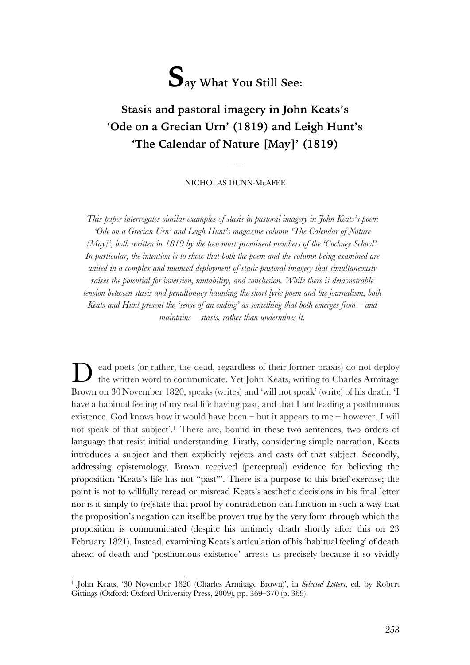# **Say What You Still See:**

# **Stasis and pastoral imagery in John Keats's 'Ode on a Grecian Urn' (1819) and Leigh Hunt's 'The Calendar of Nature [May]' (1819)**

#### NICHOLAS DUNN-McAFEE

 $\overline{\phantom{a}}$ 

*This paper interrogates similar examples of stasis in pastoral imagery in John Keats's poem 'Ode on a Grecian Urn' and Leigh Hunt's magazine column 'The Calendar of Nature [May]', both written in 1819 by the two most-prominent members of the 'Cockney School'. In particular, the intention is to show that both the poem and the column being examined are united in a complex and nuanced deployment of static pastoral imagery that simultaneously raises the potential for inversion, mutability, and conclusion. While there is demonstrable tension between stasis and penultimacy haunting the short lyric poem and the journalism, both Keats and Hunt present the 'sense of an ending' as something that both emerges from – and maintains – stasis, rather than undermines it.*

ead poets (or rather, the dead, regardless of their former praxis) do not deploy the written word to communicate. Yet John Keats, writing to Charles Armitage Brown on 30 November 1820, speaks (writes) and 'will not speak' (write) of his death: 'I have a habitual feeling of my real life having past, and that I am leading a posthumous existence. God knows how it would have been – but it appears to me – however, I will not speak of that subject'.1 There are, bound in these two sentences, two orders of language that resist initial understanding. Firstly, considering simple narration, Keats introduces a subject and then explicitly rejects and casts off that subject. Secondly, addressing epistemology, Brown received (perceptual) evidence for believing the proposition 'Keats's life has not "past"'. There is a purpose to this brief exercise; the point is not to willfully reread or misread Keats's aesthetic decisions in his final letter nor is it simply to (re)state that proof by contradiction can function in such a way that the proposition's negation can itself be proven true by the very form through which the proposition is communicated (despite his untimely death shortly after this on 23 February 1821). Instead, examining Keats's articulation of his 'habitual feeling' of death ahead of death and 'posthumous existence' arrests us precisely because it so vividly D

<sup>1</sup> John Keats, '30 November 1820 (Charles Armitage Brown)', in *Selected Letters*, ed. by Robert Gittings (Oxford: Oxford University Press, 2009), pp. 369–370 (p. 369).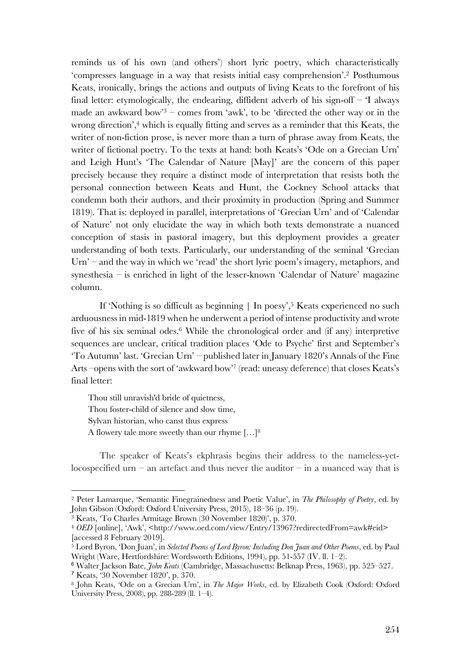reminds us of his own (and others') short lyric poetry, which characteristically 'compresses language in a way that resists initial easy comprehension'.2 Posthumous Keats, ironically, brings the actions and outputs of living Keats to the forefront of his final letter: etymologically, the endearing, diffident adverb of his sign-off  $-$  'I always made an awkward bow<sup>3</sup> – comes from 'awk', to be 'directed the other way or in the wrong direction',<sup>4</sup> which is equally fitting and serves as a reminder that this Keats, the writer of non-fiction prose, is never more than a turn of phrase away from Keats, the writer of fictional poetry. To the texts at hand: both Keats's 'Ode on a Grecian Urn' and Leigh Hunt's 'The Calendar of Nature [May]' are the concern of this paper precisely because they require a distinct mode of interpretation that resists both the personal connection between Keats and Hunt, the Cockney School attacks that condemn both their authors, and their proximity in production (Spring and Summer 1819). That is: deployed in parallel, interpretations of 'Grecian Urn' and of 'Calendar of Nature' not only elucidate the way in which both texts demonstrate a nuanced conception of stasis in pastoral imagery, but this deployment provides a greater understanding of both texts. Particularly, our understanding of the seminal 'Grecian Urn' – and the way in which we 'read' the short lyric poem's imagery, metaphors, and synesthesia – is enriched in light of the lesser-known 'Calendar of Nature' magazine column.

If 'Nothing is so difficult as beginning  $|$  In poesy',<sup>5</sup> Keats experienced no such arduousness in mid-1819 when he underwent a period of intense productivity and wrote five of his six seminal odes.6 While the chronological order and (if any) interpretive sequences are unclear, critical tradition places 'Ode to Psyche' first and September's 'To Autumn' last. 'Grecian Urn' – published later in January 1820's Annals of the Fine Arts –opens with the sort of 'awkward bow'7 (read: uneasy deference) that closes Keats's final letter:

Thou still unravish'd bride of quietness, Thou foster-child of silence and slow time, Sylvan historian, who canst thus express A flowery tale more sweetly than our rhyme […]8

The speaker of Keats's ekphrasis begins their address to the nameless-yetlocospecified urn – an artefact and thus never the auditor – in a nuanced way that is

 $\overline{a}$ 

<sup>2</sup> Peter Lamarque, 'Semantic Finegrainedness and Poetic Value', in *The Philosophy of Poetry*, ed. by John Gibson (Oxford: Oxford University Press, 2015), 18–36 (p. 19).

<sup>3</sup> Keats, 'To Charles Armitage Brown (30 November 1820)', p. 370.

<sup>4</sup> *OED* [online], 'Awk', <http://www.oed.com/view/Entry/13967?redirectedFrom=awk#eid> [accessed 8 February 2019].

<sup>5</sup> Lord Byron, 'Don Juan', in *Selected Poems of Lord Byron: Including Don Juan and Other Poems*, ed. by Paul Wright (Ware, Hertfordshire: Wordsworth Editions, 1994), pp. 51-557 (IV. ll. 1–2).

<sup>6</sup> Walter Jackson Bate, *John Keats* (Cambridge, Massachusetts: Belknap Press, 1963), pp. 525–527.

<sup>7</sup> Keats, '30 November 1820', p. 370.

<sup>8</sup> John Keats, 'Ode on a Grecian Urn', in *The Major Works*, ed. by Elizabeth Cook (Oxford: Oxford University Press, 2008), pp. 288-289 (ll. 1–4).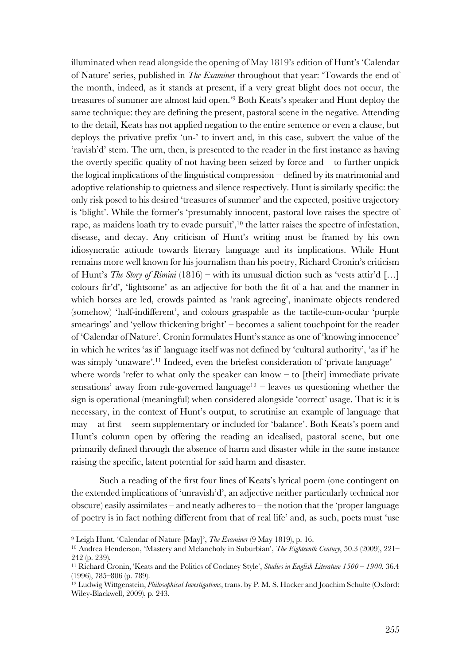illuminated when read alongside the opening of May 1819's edition of Hunt's 'Calendar of Nature' series, published in *The Examiner* throughout that year: 'Towards the end of the month, indeed, as it stands at present, if a very great blight does not occur, the treasures of summer are almost laid open.'9 Both Keats's speaker and Hunt deploy the same technique: they are defining the present, pastoral scene in the negative. Attending to the detail, Keats has not applied negation to the entire sentence or even a clause, but deploys the privative prefix 'un-' to invert and, in this case, subvert the value of the 'ravish'd' stem. The urn, then, is presented to the reader in the first instance as having the overtly specific quality of not having been seized by force and  $-$  to further unpick the logical implications of the linguistical compression – defined by its matrimonial and adoptive relationship to quietness and silence respectively. Hunt is similarly specific: the only risk posed to his desired 'treasures of summer' and the expected, positive trajectory is 'blight'. While the former's 'presumably innocent, pastoral love raises the spectre of rape, as maidens loath try to evade pursuit',<sup>10</sup> the latter raises the spectre of infestation, disease, and decay. Any criticism of Hunt's writing must be framed by his own idiosyncratic attitude towards literary language and its implications. While Hunt remains more well known for his journalism than his poetry, Richard Cronin's criticism of Hunt's *The Story of Rimini* (1816) – with its unusual diction such as 'vests attir'd […] colours fir'd', 'lightsome' as an adjective for both the fit of a hat and the manner in which horses are led, crowds painted as 'rank agreeing', inanimate objects rendered (somehow) 'half-indifferent', and colours graspable as the tactile-cum-ocular 'purple smearings' and 'yellow thickening bright' – becomes a salient touchpoint for the reader of 'Calendar of Nature'. Cronin formulates Hunt's stance as one of 'knowing innocence' in which he writes 'as if' language itself was not defined by 'cultural authority', 'as if' he was simply 'unaware'.11 Indeed, even the briefest consideration of 'private language' – where words 'refer to what only the speaker can know  $-$  to [their] immediate private sensations' away from rule-governed language<sup>12</sup> – leaves us questioning whether the sign is operational (meaningful) when considered alongside 'correct' usage. That is: it is necessary, in the context of Hunt's output, to scrutinise an example of language that may – at first – seem supplementary or included for 'balance'. Both Keats's poem and Hunt's column open by offering the reading an idealised, pastoral scene, but one primarily defined through the absence of harm and disaster while in the same instance raising the specific, latent potential for said harm and disaster.

Such a reading of the first four lines of Keats's lyrical poem (one contingent on the extended implications of 'unravish'd', an adjective neither particularly technical nor obscure) easily assimilates – and neatly adheres to – the notion that the 'proper language of poetry is in fact nothing different from that of real life' and, as such, poets must 'use

<sup>9</sup> Leigh Hunt, 'Calendar of Nature [May]', *The Examiner* (9 May 1819), p. 16.

<sup>10</sup> Andrea Henderson, 'Mastery and Melancholy in Suburbian', *The Eighteenth Century*, 50.3 (2009), 221– 242 (p. 239).

<sup>11</sup> Richard Cronin, 'Keats and the Politics of Cockney Style', *Studies in English Literature 1500 – 1900*, 36.4 (1996), 785–806 (p. 789).

<sup>12</sup> Ludwig Wittgenstein, *Philosophical Investigations*, trans. by P. M. S. Hacker and Joachim Schulte (Oxford: Wiley-Blackwell, 2009), p. 243.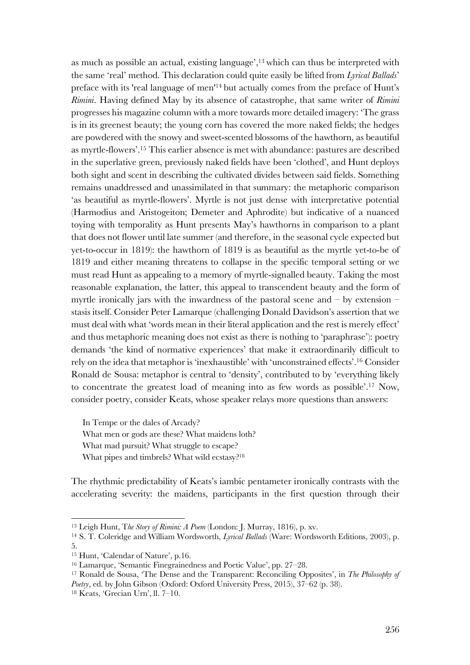as much as possible an actual, existing language', <sup>13</sup> which can thus be interpreted with the same 'real' method. This declaration could quite easily be lifted from *Lyrical Ballads*' preface with its 'real language of men'14 but actually comes from the preface of Hunt's *Rimini*. Having defined May by its absence of catastrophe, that same writer of *Rimini*  progresses his magazine column with a more towards more detailed imagery: 'The grass is in its greenest beauty; the young corn has covered the more naked fields; the hedges are powdered with the snowy and sweet-scented blossoms of the hawthorn, as beautiful as myrtle-flowers'.15 This earlier absence is met with abundance: pastures are described in the superlative green, previously naked fields have been 'clothed', and Hunt deploys both sight and scent in describing the cultivated divides between said fields. Something remains unaddressed and unassimilated in that summary: the metaphoric comparison 'as beautiful as myrtle-flowers'. Myrtle is not just dense with interpretative potential (Harmodius and Aristogeiton; Demeter and Aphrodite) but indicative of a nuanced toying with temporality as Hunt presents May's hawthorns in comparison to a plant that does not flower until late summer (and therefore, in the seasonal cycle expected but yet-to-occur in 1819): the hawthorn of 1819 is as beautiful as the myrtle yet-to-be of 1819 and either meaning threatens to collapse in the specific temporal setting or we must read Hunt as appealing to a memory of myrtle-signalled beauty. Taking the most reasonable explanation, the latter, this appeal to transcendent beauty and the form of myrtle ironically jars with the inwardness of the pastoral scene and  $-$  by extension  $$ stasis itself. Consider Peter Lamarque (challenging Donald Davidson's assertion that we must deal with what 'words mean in their literal application and the rest is merely effect' and thus metaphoric meaning does not exist as there is nothing to 'paraphrase'): poetry demands 'the kind of normative experiences' that make it extraordinarily difficult to rely on the idea that metaphor is 'inexhaustible' with 'unconstrained effects'.16 Consider Ronald de Sousa: metaphor is central to 'density', contributed to by 'everything likely to concentrate the greatest load of meaning into as few words as possible'.17 Now, consider poetry, consider Keats, whose speaker relays more questions than answers:

In Tempe or the dales of Arcady? What men or gods are these? What maidens loth? What mad pursuit? What struggle to escape? What pipes and timbrels? What wild ecstasy?18

The rhythmic predictability of Keats's iambic pentameter ironically contrasts with the accelerating severity: the maidens, participants in the first question through their

<sup>13</sup> Leigh Hunt, T*he Story of Rimini: A Poem* (London: J. Murray, 1816), p. xv.

<sup>14</sup> S. T. Coleridge and William Wordsworth, *Lyrical Ballads* (Ware: Wordsworth Editions, 2003), p. 5.

<sup>15</sup> Hunt, 'Calendar of Nature', p.16.

<sup>16</sup> Lamarque, 'Semantic Finegrainedness and Poetic Value', pp. 27–28.

<sup>17</sup> Ronald de Sousa, 'The Dense and the Transparent: Reconciling Opposites', in *The Philosophy of Poetry*, ed. by John Gibson (Oxford: Oxford University Press, 2015), 37–62 (p. 38).

<sup>18</sup> Keats, 'Grecian Urn', ll. 7–10.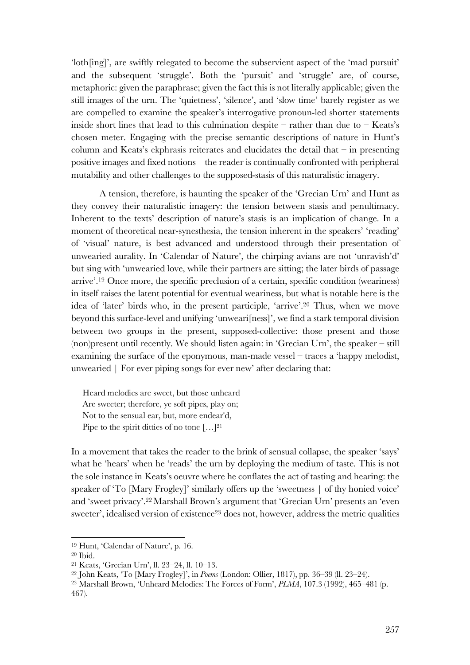'loth[ing]', are swiftly relegated to become the subservient aspect of the 'mad pursuit' and the subsequent 'struggle'. Both the 'pursuit' and 'struggle' are, of course, metaphoric: given the paraphrase; given the fact this is not literally applicable; given the still images of the urn. The 'quietness', 'silence', and 'slow time' barely register as we are compelled to examine the speaker's interrogative pronoun-led shorter statements inside short lines that lead to this culmination despite – rather than due to – Keats's chosen meter. Engaging with the precise semantic descriptions of nature in Hunt's column and Keats's ekphrasis reiterates and elucidates the detail that  $-$  in presenting positive images and fixed notions – the reader is continually confronted with peripheral mutability and other challenges to the supposed-stasis of this naturalistic imagery.

A tension, therefore, is haunting the speaker of the 'Grecian Urn' and Hunt as they convey their naturalistic imagery: the tension between stasis and penultimacy. Inherent to the texts' description of nature's stasis is an implication of change. In a moment of theoretical near-synesthesia, the tension inherent in the speakers' 'reading' of 'visual' nature, is best advanced and understood through their presentation of unwearied aurality. In 'Calendar of Nature', the chirping avians are not 'unravish'd' but sing with 'unwearied love, while their partners are sitting; the later birds of passage arrive'.19 Once more, the specific preclusion of a certain, specific condition (weariness) in itself raises the latent potential for eventual weariness, but what is notable here is the idea of 'later' birds who, in the present participle, 'arrive'.20 Thus, when we move beyond this surface-level and unifying 'unweari[ness]', we find a stark temporal division between two groups in the present, supposed-collective: those present and those (non)present until recently. We should listen again: in 'Grecian Urn', the speaker – still examining the surface of the eponymous, man-made vessel – traces a 'happy melodist, unwearied | For ever piping songs for ever new' after declaring that:

Heard melodies are sweet, but those unheard Are sweeter; therefore, ye soft pipes, play on; Not to the sensual ear, but, more endear'd, Pipe to the spirit ditties of no tone [...]<sup>21</sup>

In a movement that takes the reader to the brink of sensual collapse, the speaker 'says' what he 'hears' when he 'reads' the urn by deploying the medium of taste. This is not the sole instance in Keats's oeuvre where he conflates the act of tasting and hearing: the speaker of 'To [Mary Frogley]' similarly offers up the 'sweetness | of thy honied voice' and 'sweet privacy'.22Marshall Brown's argument that 'Grecian Urn' presents an 'even sweeter', idealised version of existence<sup>23</sup> does not, however, address the metric qualities

<sup>19</sup> Hunt, 'Calendar of Nature', p. 16.

<sup>20</sup> Ibid.

<sup>21</sup> Keats, 'Grecian Urn', ll. 23–24, ll. 10–13.

<sup>22</sup> John Keats, 'To [Mary Frogley]', in *Poems* (London: Ollier, 1817), pp. 36–39 (ll. 23–24).

<sup>23</sup> Marshall Brown, 'Unheard Melodies: The Forces of Form', *PLMA*, 107.3 (1992), 465–481 (p. 467).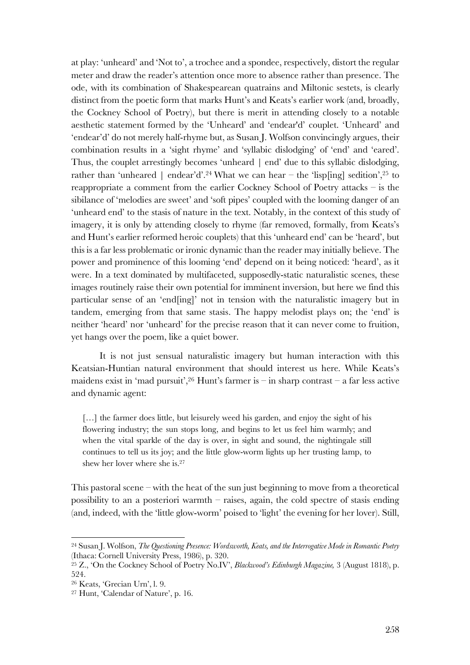at play: 'unheard' and 'Not to', a trochee and a spondee, respectively, distort the regular meter and draw the reader's attention once more to absence rather than presence. The ode, with its combination of Shakespearean quatrains and Miltonic sestets, is clearly distinct from the poetic form that marks Hunt's and Keats's earlier work (and, broadly, the Cockney School of Poetry), but there is merit in attending closely to a notable aesthetic statement formed by the 'Unheard' and 'endear'd' couplet. 'Unheard' and 'endear'd' do not merely half-rhyme but, as Susan J. Wolfson convincingly argues, their combination results in a 'sight rhyme' and 'syllabic dislodging' of 'end' and 'eared'. Thus, the couplet arrestingly becomes 'unheard | end' due to this syllabic dislodging, rather than 'unheared | endear'd'.<sup>24</sup> What we can hear – the 'lisp[ing] sedition',<sup>25</sup> to reappropriate a comment from the earlier Cockney School of Poetry attacks – is the sibilance of 'melodies are sweet' and 'soft pipes' coupled with the looming danger of an 'unheard end' to the stasis of nature in the text. Notably, in the context of this study of imagery, it is only by attending closely to rhyme (far removed, formally, from Keats's and Hunt's earlier reformed heroic couplets) that this 'unheard end' can be 'heard', but this is a far less problematic or ironic dynamic than the reader may initially believe. The power and prominence of this looming 'end' depend on it being noticed: 'heard', as it were. In a text dominated by multifaceted, supposedly-static naturalistic scenes, these images routinely raise their own potential for imminent inversion, but here we find this particular sense of an 'end[ing]' not in tension with the naturalistic imagery but in tandem, emerging from that same stasis. The happy melodist plays on; the 'end' is neither 'heard' nor 'unheard' for the precise reason that it can never come to fruition, yet hangs over the poem, like a quiet bower.

It is not just sensual naturalistic imagery but human interaction with this Keatsian-Huntian natural environment that should interest us here. While Keats's maidens exist in 'mad pursuit',  $26$  Hunt's farmer is – in sharp contrast – a far less active and dynamic agent:

[...] the farmer does little, but leisurely weed his garden, and enjoy the sight of his flowering industry; the sun stops long, and begins to let us feel him warmly; and when the vital sparkle of the day is over, in sight and sound, the nightingale still continues to tell us its joy; and the little glow-worm lights up her trusting lamp, to shew her lover where she is.27

This pastoral scene – with the heat of the sun just beginning to move from a theoretical possibility to an a posteriori warmth – raises, again, the cold spectre of stasis ending (and, indeed, with the 'little glow-worm' poised to 'light' the evening for her lover). Still,

<sup>24</sup> Susan J. Wolfson, *The Questioning Presence: Wordsworth, Keats, and the Interrogative Mode in Romantic Poetry* (Ithaca: Cornell University Press, 1986), p. 320.

<sup>25</sup> Z., 'On the Cockney School of Poetry No.IV', *Blackwood's Edinburgh Magazine,* 3 (August 1818), p. 524.

<sup>26</sup> Keats, 'Grecian Urn', l. 9.

<sup>27</sup> Hunt, 'Calendar of Nature', p. 16.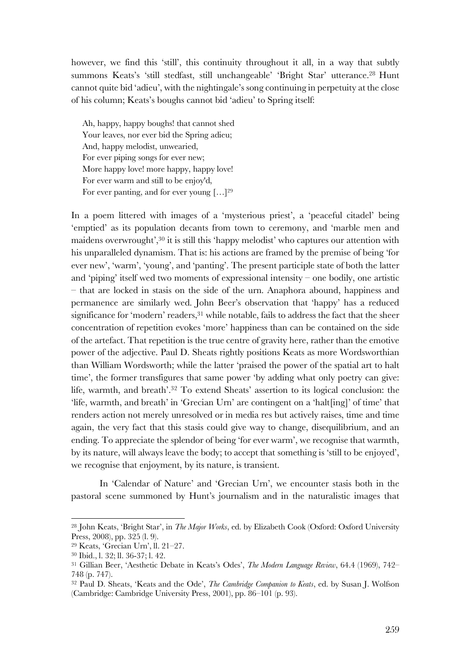however, we find this 'still', this continuity throughout it all, in a way that subtly summons Keats's 'still stedfast, still unchangeable' 'Bright Star' utterance.28 Hunt cannot quite bid 'adieu', with the nightingale's song continuing in perpetuity at the close of his column; Keats's boughs cannot bid 'adieu' to Spring itself:

Ah, happy, happy boughs! that cannot shed Your leaves, nor ever bid the Spring adieu; And, happy melodist, unwearied, For ever piping songs for ever new; More happy love! more happy, happy love! For ever warm and still to be enjoy'd, For ever panting, and for ever young […]29

In a poem littered with images of a 'mysterious priest', a 'peaceful citadel' being 'emptied' as its population decants from town to ceremony, and 'marble men and maidens overwrought',30 it is still this 'happy melodist' who captures our attention with his unparalleled dynamism. That is: his actions are framed by the premise of being 'for ever new', 'warm', 'young', and 'panting'. The present participle state of both the latter and 'piping' itself wed two moments of expressional intensity – one bodily, one artistic – that are locked in stasis on the side of the urn. Anaphora abound, happiness and permanence are similarly wed. John Beer's observation that 'happy' has a reduced significance for 'modern' readers,<sup>31</sup> while notable, fails to address the fact that the sheer concentration of repetition evokes 'more' happiness than can be contained on the side of the artefact. That repetition is the true centre of gravity here, rather than the emotive power of the adjective. Paul D. Sheats rightly positions Keats as more Wordsworthian than William Wordsworth; while the latter 'praised the power of the spatial art to halt time', the former transfigures that same power 'by adding what only poetry can give: life, warmth, and breath'.32 To extend Sheats' assertion to its logical conclusion: the 'life, warmth, and breath' in 'Grecian Urn' are contingent on a 'halt[ing]' of time' that renders action not merely unresolved or in media res but actively raises, time and time again, the very fact that this stasis could give way to change, disequilibrium, and an ending. To appreciate the splendor of being 'for ever warm', we recognise that warmth, by its nature, will always leave the body; to accept that something is 'still to be enjoyed', we recognise that enjoyment, by its nature, is transient.

In 'Calendar of Nature' and 'Grecian Urn', we encounter stasis both in the pastoral scene summoned by Hunt's journalism and in the naturalistic images that

<sup>28</sup> John Keats, 'Bright Star', in *The Major Works*, ed. by Elizabeth Cook (Oxford: Oxford University Press, 2008), pp. 325 (l. 9).

<sup>29</sup> Keats, 'Grecian Urn', ll. 21–27.

<sup>30</sup> Ibid., l. 32; ll. 36-37; l. 42.

<sup>31</sup> Gillian Beer, 'Aesthetic Debate in Keats's Odes', *The Modern Language Review*, 64.4 (1969), 742– 748 (p. 747).

<sup>32</sup> Paul D. Sheats, 'Keats and the Ode', *The Cambridge Companion to Keats*, ed. by Susan J. Wolfson (Cambridge: Cambridge University Press, 2001), pp. 86–101 (p. 93).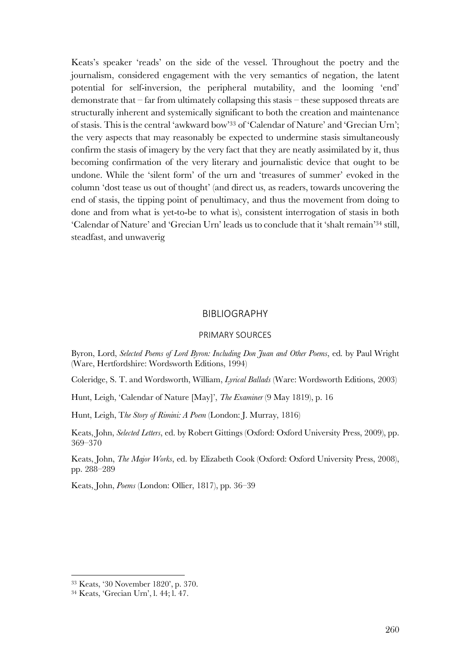Keats's speaker 'reads' on the side of the vessel. Throughout the poetry and the journalism, considered engagement with the very semantics of negation, the latent potential for self-inversion, the peripheral mutability, and the looming 'end' demonstrate that – far from ultimately collapsing this stasis – these supposed threats are structurally inherent and systemically significant to both the creation and maintenance of stasis. This is the central 'awkward bow'33 of 'Calendar of Nature' and 'Grecian Urn'; the very aspects that may reasonably be expected to undermine stasis simultaneously confirm the stasis of imagery by the very fact that they are neatly assimilated by it, thus becoming confirmation of the very literary and journalistic device that ought to be undone. While the 'silent form' of the urn and 'treasures of summer' evoked in the column 'dost tease us out of thought' (and direct us, as readers, towards uncovering the end of stasis, the tipping point of penultimacy, and thus the movement from doing to done and from what is yet-to-be to what is), consistent interrogation of stasis in both 'Calendar of Nature' and 'Grecian Urn' leads us to conclude that it 'shalt remain'34 still, steadfast, and unwaverig

## BIBLIOGRAPHY

### PRIMARY SOURCES

Byron, Lord, *Selected Poems of Lord Byron: Including Don Juan and Other Poems*, ed. by Paul Wright (Ware, Hertfordshire: Wordsworth Editions, 1994)

Coleridge, S. T. and Wordsworth, William, *Lyrical Ballads* (Ware: Wordsworth Editions, 2003)

Hunt, Leigh, 'Calendar of Nature [May]', *The Examiner* (9 May 1819), p. 16

Hunt, Leigh, T*he Story of Rimini: A Poem* (London: J. Murray, 1816)

Keats, John, *Selected Letters*, ed. by Robert Gittings (Oxford: Oxford University Press, 2009), pp. 369–370

Keats, John, *The Major Works*, ed. by Elizabeth Cook (Oxford: Oxford University Press, 2008), pp. 288–289

Keats, John, *Poems* (London: Ollier, 1817), pp. 36–39

<sup>33</sup> Keats, '30 November 1820', p. 370.

<sup>34</sup> Keats, 'Grecian Urn', l. 44; l. 47.